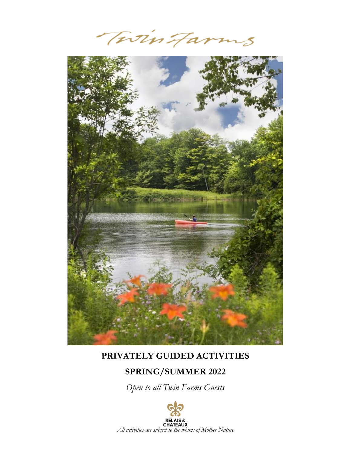TwinFarms



### **PRIVATELY GUIDED ACTIVITIES**

# **SPRING/SUMMER 2022**

*Open to all Twin Farms Guests*